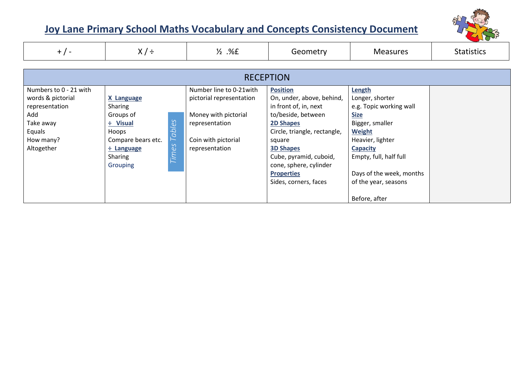

| $+$ / -                                                                                                                | $X/\div$                                                                                                                                                   | $\frac{1}{2}$ .%£                                                                                                                       | Geometry                                                                                                                                                                                                                                                                        | <b>Measures</b>                                                                                                                                                                                                                               | <b>Statistics</b> |  |  |
|------------------------------------------------------------------------------------------------------------------------|------------------------------------------------------------------------------------------------------------------------------------------------------------|-----------------------------------------------------------------------------------------------------------------------------------------|---------------------------------------------------------------------------------------------------------------------------------------------------------------------------------------------------------------------------------------------------------------------------------|-----------------------------------------------------------------------------------------------------------------------------------------------------------------------------------------------------------------------------------------------|-------------------|--|--|
| <b>RECEPTION</b>                                                                                                       |                                                                                                                                                            |                                                                                                                                         |                                                                                                                                                                                                                                                                                 |                                                                                                                                                                                                                                               |                   |  |  |
| Numbers to 0 - 21 with<br>words & pictorial<br>representation<br>Add<br>Take away<br>Equals<br>How many?<br>Altogether | <b>X Language</b><br>Sharing<br>Groups of<br>Tables<br>÷ Visual<br>Hoops<br>Compare bears etc.<br>Times<br>÷ Language<br><b>Sharing</b><br><b>Grouping</b> | Number line to 0-21 with<br>pictorial representation<br>Money with pictorial<br>representation<br>Coin with pictorial<br>representation | <b>Position</b><br>On, under, above, behind,<br>in front of, in, next<br>to/beside, between<br><b>2D Shapes</b><br>Circle, triangle, rectangle,<br>square<br><b>3D Shapes</b><br>Cube, pyramid, cuboid,<br>cone, sphere, cylinder<br><b>Properties</b><br>Sides, corners, faces | Length<br>Longer, shorter<br>e.g. Topic working wall<br><b>Size</b><br>Bigger, smaller<br><b>Weight</b><br>Heavier, lighter<br><b>Capacity</b><br>Empty, full, half full<br>Days of the week, months<br>of the year, seasons<br>Before, after |                   |  |  |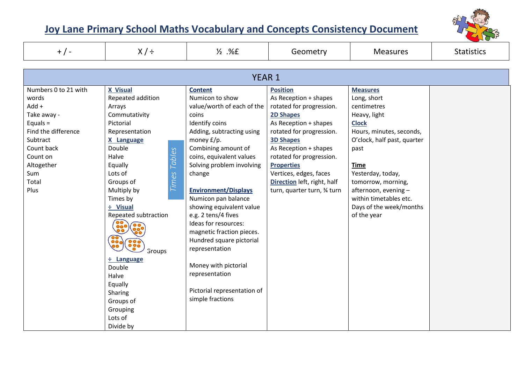

| $+$ / -                                                                                                                                                                  | $X/\div$                                                                                                                                                                                                                                                                                                                                                                                               | $\frac{1}{2}$ .%E                                                                                                                                                                                                                                                                                                                                                                                                                                                                                                                        | Geometry                                                                                                                                                                                                                                                                                                                            | <b>Measures</b>                                                                                                                                                                                                                                                                                        | <b>Statistics</b> |  |  |
|--------------------------------------------------------------------------------------------------------------------------------------------------------------------------|--------------------------------------------------------------------------------------------------------------------------------------------------------------------------------------------------------------------------------------------------------------------------------------------------------------------------------------------------------------------------------------------------------|------------------------------------------------------------------------------------------------------------------------------------------------------------------------------------------------------------------------------------------------------------------------------------------------------------------------------------------------------------------------------------------------------------------------------------------------------------------------------------------------------------------------------------------|-------------------------------------------------------------------------------------------------------------------------------------------------------------------------------------------------------------------------------------------------------------------------------------------------------------------------------------|--------------------------------------------------------------------------------------------------------------------------------------------------------------------------------------------------------------------------------------------------------------------------------------------------------|-------------------|--|--|
| YEAR <sub>1</sub>                                                                                                                                                        |                                                                                                                                                                                                                                                                                                                                                                                                        |                                                                                                                                                                                                                                                                                                                                                                                                                                                                                                                                          |                                                                                                                                                                                                                                                                                                                                     |                                                                                                                                                                                                                                                                                                        |                   |  |  |
| Numbers 0 to 21 with<br>words<br>$Add +$<br>Take away -<br>Equals $=$<br>Find the difference<br>Subtract<br>Count back<br>Count on<br>Altogether<br>Sum<br>Total<br>Plus | <b>X</b> Visual<br>Repeated addition<br>Arrays<br>Commutativity<br>Pictorial<br>Representation<br>X Language<br>Double<br><b>Tables</b><br>Halve<br>Equally<br><b>Times</b><br>Lots of<br>Groups of<br>Multiply by<br>Times by<br>÷ Visual<br>Repeated subtraction<br>880 (880)<br>Groups<br>$\div$ Language<br>Double<br>Halve<br>Equally<br>Sharing<br>Groups of<br>Grouping<br>Lots of<br>Divide by | <b>Content</b><br>Numicon to show<br>value/worth of each of the<br>coins<br>Identify coins<br>Adding, subtracting using<br>money £/p.<br>Combining amount of<br>coins, equivalent values<br>Solving problem involving<br>change<br><b>Environment/Displays</b><br>Numicon pan balance<br>showing equivalent value<br>e.g. 2 tens/4 fives<br>Ideas for resources:<br>magnetic fraction pieces.<br>Hundred square pictorial<br>representation<br>Money with pictorial<br>representation<br>Pictorial representation of<br>simple fractions | <b>Position</b><br>As Reception + shapes<br>rotated for progression.<br><b>2D Shapes</b><br>As Reception + shapes<br>rotated for progression.<br><b>3D Shapes</b><br>As Reception + shapes<br>rotated for progression.<br><b>Properties</b><br>Vertices, edges, faces<br>Direction left, right, half<br>turn, quarter turn, 34 turn | <b>Measures</b><br>Long, short<br>centimetres<br>Heavy, light<br><b>Clock</b><br>Hours, minutes, seconds,<br>O'clock, half past, quarter<br>past<br><b>Time</b><br>Yesterday, today,<br>tomorrow, morning,<br>afternoon, evening -<br>within timetables etc.<br>Days of the week/months<br>of the year |                   |  |  |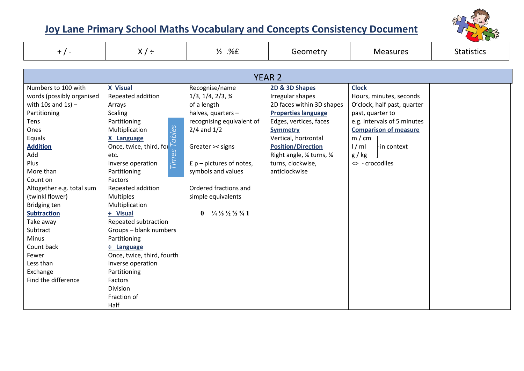

| $+$ / -                                                                                                                                                                                                                                                                                                                                                                       | $X/\div$                                                                                                                                                                                                                                                                                                                                                                                                                                                                                                   | $\frac{1}{2}$ .%E                                                                                                                                                                                                                                                                                                                                              | Geometry                                                                                                                                                                                                                                                             | <b>Measures</b>                                                                                                                                                                                                      | <b>Statistics</b> |  |  |
|-------------------------------------------------------------------------------------------------------------------------------------------------------------------------------------------------------------------------------------------------------------------------------------------------------------------------------------------------------------------------------|------------------------------------------------------------------------------------------------------------------------------------------------------------------------------------------------------------------------------------------------------------------------------------------------------------------------------------------------------------------------------------------------------------------------------------------------------------------------------------------------------------|----------------------------------------------------------------------------------------------------------------------------------------------------------------------------------------------------------------------------------------------------------------------------------------------------------------------------------------------------------------|----------------------------------------------------------------------------------------------------------------------------------------------------------------------------------------------------------------------------------------------------------------------|----------------------------------------------------------------------------------------------------------------------------------------------------------------------------------------------------------------------|-------------------|--|--|
|                                                                                                                                                                                                                                                                                                                                                                               |                                                                                                                                                                                                                                                                                                                                                                                                                                                                                                            |                                                                                                                                                                                                                                                                                                                                                                |                                                                                                                                                                                                                                                                      |                                                                                                                                                                                                                      |                   |  |  |
|                                                                                                                                                                                                                                                                                                                                                                               |                                                                                                                                                                                                                                                                                                                                                                                                                                                                                                            |                                                                                                                                                                                                                                                                                                                                                                | <b>YEAR 2</b>                                                                                                                                                                                                                                                        |                                                                                                                                                                                                                      |                   |  |  |
| Numbers to 100 with<br>words (possibly organised<br>with 10s and $1s$ ) -<br>Partitioning<br>Tens<br>Ones<br>Equals<br><b>Addition</b><br>Add<br>Plus<br>More than<br>Count on<br>Altogether e.g. total sum<br>(twinkl flower)<br>Bridging ten<br><b>Subtraction</b><br>Take away<br>Subtract<br>Minus<br>Count back<br>Fewer<br>Less than<br>Exchange<br>Find the difference | <b>X</b> Visual<br>Repeated addition<br>Arrays<br><b>Scaling</b><br>Partitioning<br>cables<br>Multiplication<br>X Language<br>Once, twice, third, for<br>etc.<br>$\sigma$<br>й<br>Г<br>Inverse operation<br>Partitioning<br>Factors<br>Repeated addition<br><b>Multiples</b><br>Multiplication<br>÷ Visual<br>Repeated subtraction<br>Groups - blank numbers<br>Partitioning<br>÷ Language<br>Once, twice, third, fourth<br>Inverse operation<br>Partitioning<br>Factors<br><b>Division</b><br>Fraction of | Recognise/name<br>$1/3$ , $1/4$ , $2/3$ , $\frac{3}{4}$<br>of a length<br>halves, quarters -<br>recognising equivalent of<br>$2/4$ and $1/2$<br>Greater >< signs<br>$E$ p – pictures of notes,<br>symbols and values<br>Ordered fractions and<br>simple equivalents<br>$\frac{1}{4}$ $\frac{1}{3}$ $\frac{1}{2}$ $\frac{2}{3}$ $\frac{3}{4}$ 1<br>$\mathbf{0}$ | 2D & 3D Shapes<br>Irregular shapes<br>2D faces within 3D shapes<br><b>Properties language</b><br>Edges, vertices, faces<br><b>Symmetry</b><br>Vertical, horizontal<br><b>Position/Direction</b><br>Right angle, 1/4 turns, 3/4<br>turns, clockwise,<br>anticlockwise | <b>Clock</b><br>Hours, minutes, seconds<br>O'clock, half past, quarter<br>past, quarter to<br>e.g. intervals of 5 minutes<br><b>Comparison of measure</b><br>m/cm<br>1/ml<br>in context<br>g / kg<br><> - crocodiles |                   |  |  |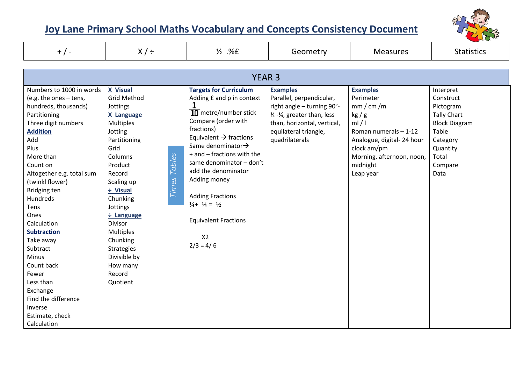

| $+$ / -                                                                                                                                                                  | $X/\div$                                                                                                                   | $\frac{1}{2}$ .%E                                                                                                                                                                                                                           | Geometry                                                                                                                                                                            | <b>Measures</b>                                                                                                                                           | <b>Statistics</b>                                                                                                           |  |  |
|--------------------------------------------------------------------------------------------------------------------------------------------------------------------------|----------------------------------------------------------------------------------------------------------------------------|---------------------------------------------------------------------------------------------------------------------------------------------------------------------------------------------------------------------------------------------|-------------------------------------------------------------------------------------------------------------------------------------------------------------------------------------|-----------------------------------------------------------------------------------------------------------------------------------------------------------|-----------------------------------------------------------------------------------------------------------------------------|--|--|
|                                                                                                                                                                          |                                                                                                                            |                                                                                                                                                                                                                                             |                                                                                                                                                                                     |                                                                                                                                                           |                                                                                                                             |  |  |
|                                                                                                                                                                          | <b>YEAR 3</b>                                                                                                              |                                                                                                                                                                                                                                             |                                                                                                                                                                                     |                                                                                                                                                           |                                                                                                                             |  |  |
| Numbers to 1000 in words<br>(e.g. the ones - tens,<br>hundreds, thousands)<br>Partitioning<br>Three digit numbers<br><b>Addition</b><br>Add<br>Plus<br>More than         | X Visual<br><b>Grid Method</b><br>Jottings<br>X Language<br><b>Multiples</b><br>Jotting<br>Partitioning<br>Grid<br>Columns | <b>Targets for Curriculum</b><br>Adding £ and p in context<br>$\overline{10}$ metre/number stick<br>Compare (order with<br>fractions)<br>Equivalent $\rightarrow$ fractions<br>Same denominator $\rightarrow$<br>+ and - fractions with the | <b>Examples</b><br>Parallel, perpendicular,<br>right angle - turning 90°-<br>1/4 -3/4, greater than, less<br>than, horizontal, vertical,<br>equilateral triangle,<br>quadrilaterals | <b>Examples</b><br>Perimeter<br>mm/cm/m<br>kg/g<br>ml/1<br>Roman numerals - 1-12<br>Analogue, digital-24 hour<br>clock am/pm<br>Morning, afternoon, noon, | Interpret<br>Construct<br>Pictogram<br><b>Tally Chart</b><br><b>Block Diagram</b><br>Table<br>Category<br>Quantity<br>Total |  |  |
| Count on<br>Altogether e.g. total sum<br>(twinkl flower)<br>Bridging ten<br>Hundreds<br>Tens<br>Ones<br>Calculation                                                      | Tables<br>Product<br>Record<br>Times<br>Scaling up<br>÷ Visual<br>Chunking<br>Jottings<br>÷ Language<br><b>Divisor</b>     | same denominator - don't<br>add the denominator<br>Adding money<br><b>Adding Fractions</b><br>$\frac{1}{4} + \frac{1}{4} = \frac{1}{2}$<br><b>Equivalent Fractions</b>                                                                      |                                                                                                                                                                                     | midnight<br>Leap year                                                                                                                                     | Compare<br>Data                                                                                                             |  |  |
| <b>Subtraction</b><br>Take away<br>Subtract<br>Minus<br>Count back<br>Fewer<br>Less than<br>Exchange<br>Find the difference<br>Inverse<br>Estimate, check<br>Calculation | <b>Multiples</b><br>Chunking<br><b>Strategies</b><br>Divisible by<br>How many<br>Record<br>Quotient                        | X <sub>2</sub><br>$2/3 = 4/6$                                                                                                                                                                                                               |                                                                                                                                                                                     |                                                                                                                                                           |                                                                                                                             |  |  |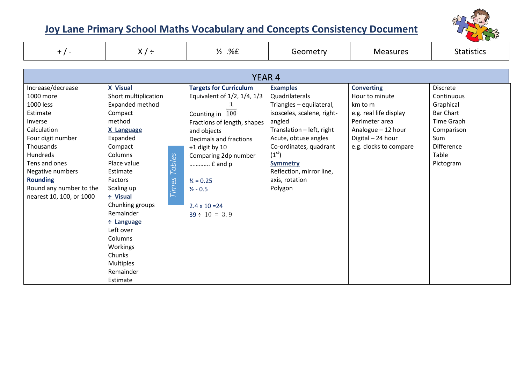

| $+$ / -                                                                                                                                                                                                                                        | $X/\div$                                                                                                                                                                                                                                                                                                                                                                         | $\frac{1}{2}$ .%£                                                                                                                                                                                                                                                                                       | Geometry                                                                                                                                                                                                                                                                               | <b>Measures</b>                                                                                                                                                 | <b>Statistics</b>                                                                                                                                   |  |
|------------------------------------------------------------------------------------------------------------------------------------------------------------------------------------------------------------------------------------------------|----------------------------------------------------------------------------------------------------------------------------------------------------------------------------------------------------------------------------------------------------------------------------------------------------------------------------------------------------------------------------------|---------------------------------------------------------------------------------------------------------------------------------------------------------------------------------------------------------------------------------------------------------------------------------------------------------|----------------------------------------------------------------------------------------------------------------------------------------------------------------------------------------------------------------------------------------------------------------------------------------|-----------------------------------------------------------------------------------------------------------------------------------------------------------------|-----------------------------------------------------------------------------------------------------------------------------------------------------|--|
| <b>YEAR 4</b>                                                                                                                                                                                                                                  |                                                                                                                                                                                                                                                                                                                                                                                  |                                                                                                                                                                                                                                                                                                         |                                                                                                                                                                                                                                                                                        |                                                                                                                                                                 |                                                                                                                                                     |  |
| Increase/decrease<br>1000 more<br>1000 less<br>Estimate<br>Inverse<br>Calculation<br>Four digit number<br>Thousands<br>Hundreds<br>Tens and ones<br>Negative numbers<br><b>Rounding</b><br>Round any number to the<br>nearest 10, 100, or 1000 | <b>X</b> Visual<br>Short multiplication<br>Expanded method<br>Compact<br>method<br><b>X Language</b><br>Expanded<br>Compact<br>Columns<br><b>Tables</b><br>Place value<br>Estimate<br><b>Times</b><br>Factors<br>Scaling up<br>÷ Visual<br>Chunking groups<br>Remainder<br>÷ Language<br>Left over<br>Columns<br>Workings<br>Chunks<br><b>Multiples</b><br>Remainder<br>Estimate | <b>Targets for Curriculum</b><br>Equivalent of 1/2, 1/4, 1/3<br>Counting in 100<br>Fractions of length, shapes<br>and objects<br>Decimals and fractions<br>$\div 1$ digit by 10<br>Comparing 2dp number<br>£ and p<br>$\frac{1}{4} = 0.25$<br>$1/2 - 0.5$<br>$2.4 \times 10 = 24$<br>$39 \div 10 = 3.9$ | <b>Examples</b><br>Quadrilaterals<br>Triangles - equilateral,<br>isosceles, scalene, right-<br>angled<br>Translation - left, right<br>Acute, obtuse angles<br>Co-ordinates, quadrant<br>(1 <sup>st</sup> )<br><b>Symmetry</b><br>Reflection, mirror line,<br>axis, rotation<br>Polygon | <b>Converting</b><br>Hour to minute<br>km to m<br>e.g. real life display<br>Perimeter area<br>Analogue - 12 hour<br>Digital - 24 hour<br>e.g. clocks to compare | <b>Discrete</b><br>Continuous<br>Graphical<br><b>Bar Chart</b><br>Time Graph<br>Comparison<br><b>Sum</b><br><b>Difference</b><br>Table<br>Pictogram |  |